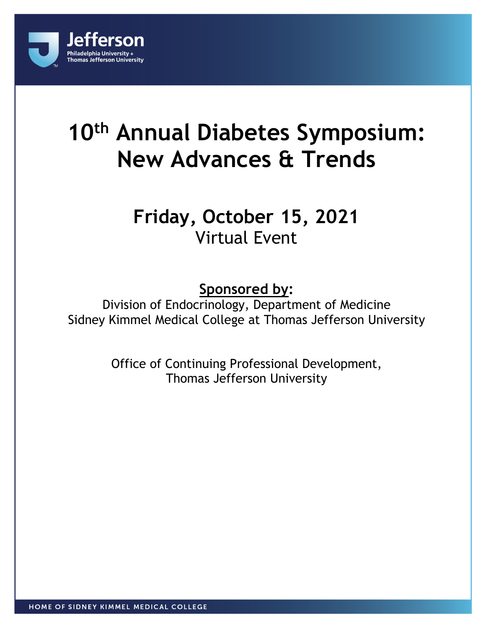

# **10th Annual Diabetes Symposium: New Advances & Trends**

## **Friday, October 15, 2021** Virtual Event

### **Sponsored by:**

Division of Endocrinology, Department of Medicine Sidney Kimmel Medical College at Thomas Jefferson University

> Office of Continuing Professional Development, Thomas Jefferson University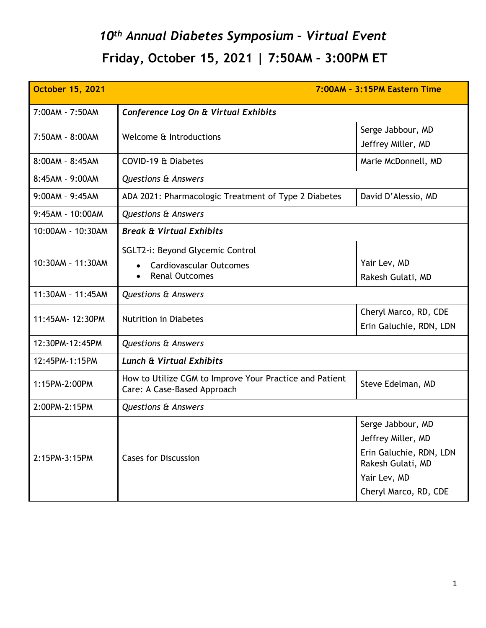## *10th Annual Diabetes Symposium – Virtual Event* **Friday, October 15, 2021 | 7:50AM – 3:00PM ET**

| <b>October 15, 2021</b> | 7:00AM - 3:15PM Eastern Time                                                                |                                                                                                                                  |
|-------------------------|---------------------------------------------------------------------------------------------|----------------------------------------------------------------------------------------------------------------------------------|
| 7:00AM - 7:50AM         | Conference Log On & Virtual Exhibits                                                        |                                                                                                                                  |
| 7:50AM - 8:00AM         | Welcome & Introductions                                                                     | Serge Jabbour, MD<br>Jeffrey Miller, MD                                                                                          |
| $8:00AM - 8:45AM$       | COVID-19 & Diabetes                                                                         | Marie McDonnell, MD                                                                                                              |
| 8:45AM - 9:00AM         | <b>Questions &amp; Answers</b>                                                              |                                                                                                                                  |
| $9:00AM - 9:45AM$       | ADA 2021: Pharmacologic Treatment of Type 2 Diabetes                                        | David D'Alessio, MD                                                                                                              |
| 9:45AM - 10:00AM        | <b>Questions &amp; Answers</b>                                                              |                                                                                                                                  |
| 10:00AM - 10:30AM       | <b>Break &amp; Virtual Exhibits</b>                                                         |                                                                                                                                  |
| 10:30AM - 11:30AM       | SGLT2-i: Beyond Glycemic Control<br><b>Cardiovascular Outcomes</b><br><b>Renal Outcomes</b> | Yair Lev, MD<br>Rakesh Gulati, MD                                                                                                |
| 11:30AM - 11:45AM       | <b>Questions &amp; Answers</b>                                                              |                                                                                                                                  |
| 11:45AM- 12:30PM        | <b>Nutrition in Diabetes</b>                                                                | Cheryl Marco, RD, CDE<br>Erin Galuchie, RDN, LDN                                                                                 |
| 12:30PM-12:45PM         | <b>Questions &amp; Answers</b>                                                              |                                                                                                                                  |
| 12:45PM-1:15PM          | <b>Lunch &amp; Virtual Exhibits</b>                                                         |                                                                                                                                  |
| 1:15PM-2:00PM           | How to Utilize CGM to Improve Your Practice and Patient<br>Care: A Case-Based Approach      | Steve Edelman, MD                                                                                                                |
| 2:00PM-2:15PM           | <b>Questions &amp; Answers</b>                                                              |                                                                                                                                  |
| 2:15PM-3:15PM           | <b>Cases for Discussion</b>                                                                 | Serge Jabbour, MD<br>Jeffrey Miller, MD<br>Erin Galuchie, RDN, LDN<br>Rakesh Gulati, MD<br>Yair Lev, MD<br>Cheryl Marco, RD, CDE |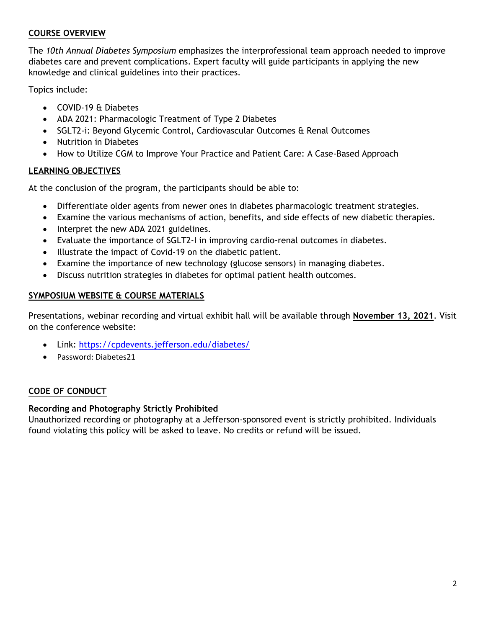#### **COURSE OVERVIEW**

The *10th Annual Diabetes Symposium* emphasizes the interprofessional team approach needed to improve diabetes care and prevent complications. Expert faculty will guide participants in applying the new knowledge and clinical guidelines into their practices.

Topics include:

- COVID-19 & Diabetes
- ADA 2021: Pharmacologic Treatment of Type 2 Diabetes
- SGLT2-i: Beyond Glycemic Control, Cardiovascular Outcomes & Renal Outcomes
- Nutrition in Diabetes
- How to Utilize CGM to Improve Your Practice and Patient Care: A Case-Based Approach

#### **LEARNING OBJECTIVES**

At the conclusion of the program, the participants should be able to:

- Differentiate older agents from newer ones in diabetes pharmacologic treatment strategies.
- Examine the various mechanisms of action, benefits, and side effects of new diabetic therapies.
- Interpret the new ADA 2021 guidelines.
- Evaluate the importance of SGLT2-I in improving cardio-renal outcomes in diabetes.
- Illustrate the impact of Covid-19 on the diabetic patient.
- Examine the importance of new technology (glucose sensors) in managing diabetes.
- Discuss nutrition strategies in diabetes for optimal patient health outcomes.

#### **SYMPOSIUM WEBSITE & COURSE MATERIALS**

Presentations, webinar recording and virtual exhibit hall will be available through **November 13, 2021**. Visit on the conference website:

- Link: <https://cpdevents.jefferson.edu/diabetes/>
- Password: Diabetes21

#### **CODE OF CONDUCT**

#### **Recording and Photography Strictly Prohibited**

Unauthorized recording or photography at a Jefferson-sponsored event is strictly prohibited. Individuals found violating this policy will be asked to leave. No credits or refund will be issued.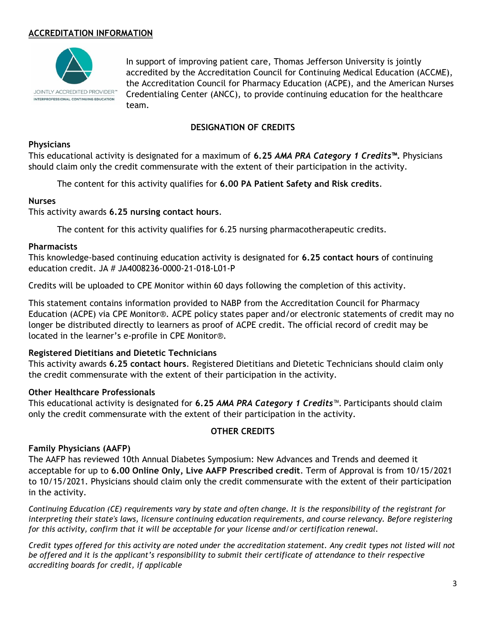#### **ACCREDITATION INFORMATION**



In support of improving patient care, Thomas Jefferson University is jointly accredited by the Accreditation Council for Continuing Medical Education (ACCME), the Accreditation Council for Pharmacy Education (ACPE), and the American Nurses Credentialing Center (ANCC), to provide continuing education for the healthcare team.

#### **DESIGNATION OF CREDITS**

#### **Physicians**

This educational activity is designated for a maximum of **6.25** *AMA PRA Category 1 Credits***™.** Physicians should claim only the credit commensurate with the extent of their participation in the activity.

The content for this activity qualifies for **6.00 PA Patient Safety and Risk credits**.

#### **Nurses**

#### This activity awards **6.25 nursing contact hours**.

The content for this activity qualifies for 6.25 nursing pharmacotherapeutic credits.

#### **Pharmacists**

This knowledge-based continuing education activity is designated for **6.25 contact hours** of continuing education credit. JA # JA4008236-0000-21-018-L01-P

Credits will be uploaded to CPE Monitor within 60 days following the completion of this activity.

This statement contains information provided to NABP from the Accreditation Council for Pharmacy Education (ACPE) via CPE Monitor®. ACPE policy states paper and/or electronic statements of credit may no longer be distributed directly to learners as proof of ACPE credit. The official record of credit may be located in the learner's e-profile in CPE Monitor®.

#### **Registered Dietitians and Dietetic Technicians**

This activity awards **6.25 contact hours**. Registered Dietitians and Dietetic Technicians should claim only the credit commensurate with the extent of their participation in the activity.

#### **Other Healthcare Professionals**

This educational activity is designated for **6.25** *AMA PRA Category 1 Credits*™. Participants should claim only the credit commensurate with the extent of their participation in the activity.

#### **OTHER CREDITS**

#### **Family Physicians (AAFP)**

The AAFP has reviewed 10th Annual Diabetes Symposium: New Advances and Trends and deemed it acceptable for up to **6.00 Online Only, Live AAFP Prescribed credit**. Term of Approval is from 10/15/2021 to 10/15/2021. Physicians should claim only the credit commensurate with the extent of their participation in the activity.

*Continuing Education (CE) requirements vary by state and often change. It is the responsibility of the registrant for interpreting their state's laws, licensure continuing education requirements, and course relevancy. Before registering for this activity, confirm that it will be acceptable for your license and/or certification renewal.* 

*Credit types offered for this activity are noted under the accreditation statement. Any credit types not listed will not be offered and it is the applicant's responsibility to submit their certificate of attendance to their respective accrediting boards for credit, if applicable*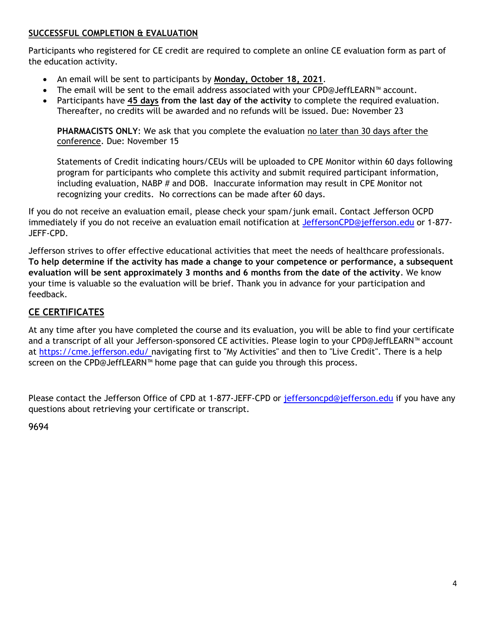#### **SUCCESSFUL COMPLETION & EVALUATION**

Participants who registered for CE credit are required to complete an online CE evaluation form as part of the education activity.

- An email will be sent to participants by **Monday, October 18, 2021**.
- The email will be sent to the email address associated with your CPD@JeffLEARN™ account.
- Participants have **45 days from the last day of the activity** to complete the required evaluation. Thereafter, no credits will be awarded and no refunds will be issued. Due: November 23

**PHARMACISTS ONLY**: We ask that you complete the evaluation no later than 30 days after the conference. Due: November 15

Statements of Credit indicating hours/CEUs will be uploaded to CPE Monitor within 60 days following program for participants who complete this activity and submit required participant information, including evaluation, NABP # and DOB. Inaccurate information may result in CPE Monitor not recognizing your credits. No corrections can be made after 60 days.

If you do not receive an evaluation email, please check your spam/junk email. Contact Jefferson OCPD immediately if you do not receive an evaluation email notification at [JeffersonCPD@jefferson.edu](mailto:JeffersonCPD@jefferson.edu) or 1-877-JEFF-CPD.

Jefferson strives to offer effective educational activities that meet the needs of healthcare professionals. **To help determine if the activity has made a change to your competence or performance, a subsequent evaluation will be sent approximately 3 months and 6 months from the date of the activity**. We know your time is valuable so the evaluation will be brief. Thank you in advance for your participation and feedback.

#### **CE CERTIFICATES**

At any time after you have completed the course and its evaluation, you will be able to find your certificate and a transcript of all your Jefferson-sponsored CE activities. Please login to your CPD@JeffLEARN™ account at [https://cme.jefferson.edu/ n](https://cme.jefferson.edu/)avigating first to "My Activities" and then to "Live Credit". There is a help screen on the CPD@JeffLEARN™ home page that can guide you through this process.

Please contact the Jefferson Office of CPD at 1-877-JEFF-CPD or [jeffersoncpd@jefferson.edu](mailto:jeffersoncpd@jefferson.edu) if you have any questions about retrieving your certificate or transcript.

9694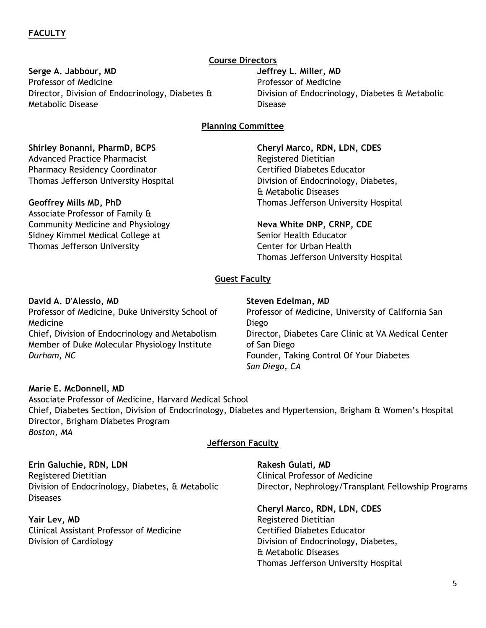#### **Serge A. Jabbour, MD**

Professor of Medicine Director, Division of Endocrinology, Diabetes & Metabolic Disease

#### **Course Directors**

**Jeffrey L. Miller, MD** Professor of Medicine Division of Endocrinology, Diabetes & Metabolic Disease

#### **Planning Committee**

#### **Shirley Bonanni, PharmD, BCPS**

Advanced Practice Pharmacist Pharmacy Residency Coordinator Thomas Jefferson University Hospital

#### **Geoffrey Mills MD, PhD**

Associate Professor of Family & Community Medicine and Physiology Sidney Kimmel Medical College at Thomas Jefferson University

**Cheryl Marco, RDN, LDN, CDES** Registered Dietitian Certified Diabetes Educator Division of Endocrinology, Diabetes, & Metabolic Diseases Thomas Jefferson University Hospital

**Neva White DNP, CRNP, CDE** Senior Health Educator Center for Urban Health Thomas Jefferson University Hospital

#### **Guest Faculty**

#### **David A. D'Alessio, MD**

Professor of Medicine, Duke University School of Medicine Chief, Division of Endocrinology and Metabolism Member of Duke Molecular Physiology Institute *Durham, NC*

#### **Steven Edelman, MD**

Professor of Medicine, University of California San Diego Director, Diabetes Care Clinic at VA Medical Center of San Diego Founder, Taking Control Of Your Diabetes *San Diego, CA*

#### **Marie E. McDonnell, MD**

Associate Professor of Medicine, Harvard Medical School Chief, Diabetes Section, Division of Endocrinology, Diabetes and Hypertension, Brigham & Women's Hospital Director, Brigham Diabetes Program *Boston, MA*

#### **Jefferson Faculty**

**Erin Galuchie, RDN, LDN** Registered Dietitian Division of Endocrinology, Diabetes, & Metabolic Diseases

**Yair Lev, MD** Clinical Assistant Professor of Medicine Division of Cardiology

**Rakesh Gulati, MD**  Clinical Professor of Medicine Director, Nephrology/Transplant Fellowship Programs

**Cheryl Marco, RDN, LDN, CDES** Registered Dietitian Certified Diabetes Educator Division of Endocrinology, Diabetes, & Metabolic Diseases Thomas Jefferson University Hospital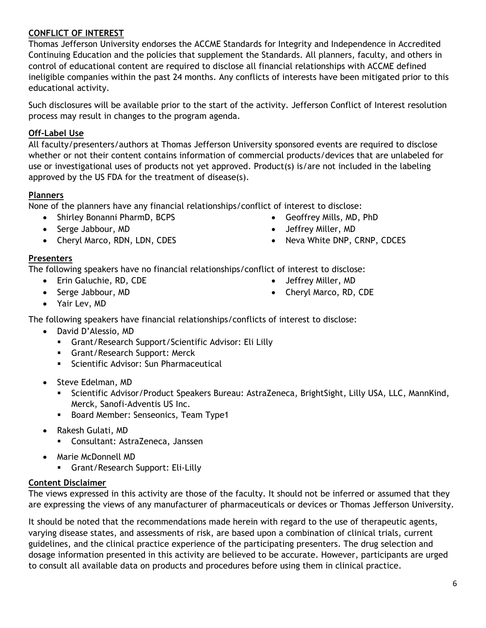#### **CONFLICT OF INTEREST**

Thomas Jefferson University endorses the ACCME Standards for Integrity and Independence in Accredited Continuing Education and the policies that supplement the Standards. All planners, faculty, and others in control of educational content are required to disclose all financial relationships with ACCME defined ineligible companies within the past 24 months. Any conflicts of interests have been mitigated prior to this educational activity.

Such disclosures will be available prior to the start of the activity. Jefferson Conflict of Interest resolution process may result in changes to the program agenda.

#### **Off-Label Use**

All faculty/presenters/authors at Thomas Jefferson University sponsored events are required to disclose whether or not their content contains information of commercial products/devices that are unlabeled for use or investigational uses of products not yet approved. Product(s) is/are not included in the labeling approved by the US FDA for the treatment of disease(s).

#### **Planners**

None of the planners have any financial relationships/conflict of interest to disclose:

- Shirley Bonanni PharmD, BCPS
- Serge Jabbour, MD
- Cheryl Marco, RDN, LDN, CDES
- Geoffrey Mills, MD, PhD
- Jeffrey Miller, MD
- Neva White DNP, CRNP, CDCES

#### **Presenters**

The following speakers have no financial relationships/conflict of interest to disclose:

- Erin Galuchie, RD, CDE
- Serge Jabbour, MD
- Jeffrey Miller, MD
- Cheryl Marco, RD, CDE

Yair Lev, MD

The following speakers have financial relationships/conflicts of interest to disclose:

- David D'Alessio, MD
	- Grant/Research Support/Scientific Advisor: Eli Lilly
	- **Grant/Research Support: Merck**
	- **Scientific Advisor: Sun Pharmaceutical**
- Steve Edelman, MD
	- Scientific Advisor/Product Speakers Bureau: AstraZeneca, BrightSight, Lilly USA, LLC, MannKind, Merck, Sanofi-Adventis US Inc.
	- Board Member: Senseonics, Team Type1
- Rakesh Gulati, MD
	- Consultant: AstraZeneca, Janssen
- Marie McDonnell MD
	- **Grant/Research Support: Eli-Lilly**

#### **Content Disclaimer**

The views expressed in this activity are those of the faculty. It should not be inferred or assumed that they are expressing the views of any manufacturer of pharmaceuticals or devices or Thomas Jefferson University.

It should be noted that the recommendations made herein with regard to the use of therapeutic agents, varying disease states, and assessments of risk, are based upon a combination of clinical trials, current guidelines, and the clinical practice experience of the participating presenters. The drug selection and dosage information presented in this activity are believed to be accurate. However, participants are urged to consult all available data on products and procedures before using them in clinical practice.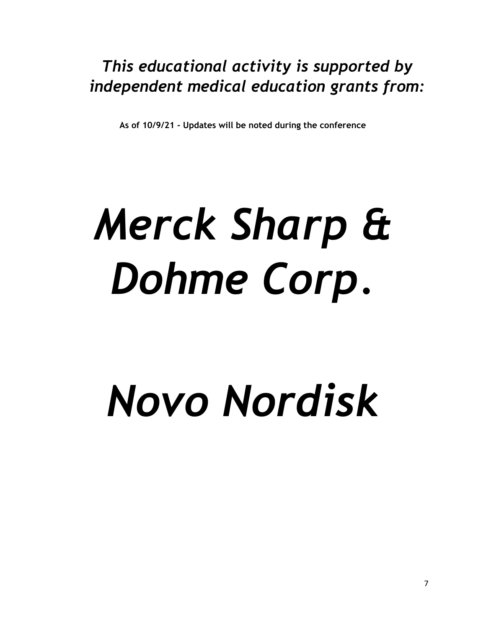### *This educational activity is supported by independent medical education grants from:*

**As of 10/9/21 - Updates will be noted during the conference**

# *Merck Sharp & Dohme Corp.*

# *Novo Nordisk*